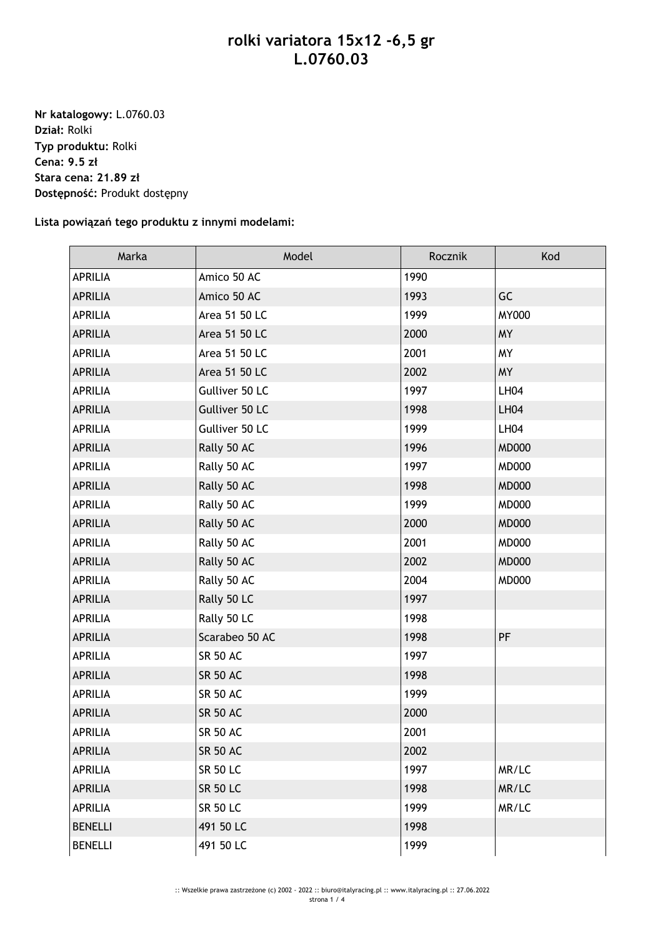## **rolki variatora 15x12 -6,5 gr L.0760.03**

**Nr katalogowy:** L.0760.03 **Dział:** Rolki **Typ produktu:** Rolki **Cena: 9.5 zł Stara cena: 21.89 zł Dostępność:** Produkt dostępny

## **Lista powiązań tego produktu z innymi modelami:**

| Marka          | Model           | Rocznik | Kod          |
|----------------|-----------------|---------|--------------|
| <b>APRILIA</b> | Amico 50 AC     | 1990    |              |
| <b>APRILIA</b> | Amico 50 AC     | 1993    | GC           |
| <b>APRILIA</b> | Area 51 50 LC   | 1999    | <b>MY000</b> |
| <b>APRILIA</b> | Area 51 50 LC   | 2000    | <b>MY</b>    |
| <b>APRILIA</b> | Area 51 50 LC   | 2001    | <b>MY</b>    |
| <b>APRILIA</b> | Area 51 50 LC   | 2002    | <b>MY</b>    |
| <b>APRILIA</b> | Gulliver 50 LC  | 1997    | LH04         |
| <b>APRILIA</b> | Gulliver 50 LC  | 1998    | <b>LH04</b>  |
| <b>APRILIA</b> | Gulliver 50 LC  | 1999    | LH04         |
| <b>APRILIA</b> | Rally 50 AC     | 1996    | <b>MD000</b> |
| <b>APRILIA</b> | Rally 50 AC     | 1997    | <b>MD000</b> |
| <b>APRILIA</b> | Rally 50 AC     | 1998    | <b>MD000</b> |
| <b>APRILIA</b> | Rally 50 AC     | 1999    | <b>MD000</b> |
| <b>APRILIA</b> | Rally 50 AC     | 2000    | <b>MD000</b> |
| <b>APRILIA</b> | Rally 50 AC     | 2001    | <b>MD000</b> |
| <b>APRILIA</b> | Rally 50 AC     | 2002    | <b>MD000</b> |
| <b>APRILIA</b> | Rally 50 AC     | 2004    | <b>MD000</b> |
| <b>APRILIA</b> | Rally 50 LC     | 1997    |              |
| <b>APRILIA</b> | Rally 50 LC     | 1998    |              |
| <b>APRILIA</b> | Scarabeo 50 AC  | 1998    | PF           |
| <b>APRILIA</b> | <b>SR 50 AC</b> | 1997    |              |
| <b>APRILIA</b> | <b>SR 50 AC</b> | 1998    |              |
| <b>APRILIA</b> | <b>SR 50 AC</b> | 1999    |              |
| <b>APRILIA</b> | <b>SR 50 AC</b> | 2000    |              |
| <b>APRILIA</b> | <b>SR 50 AC</b> | 2001    |              |
| <b>APRILIA</b> | <b>SR 50 AC</b> | 2002    |              |
| <b>APRILIA</b> | <b>SR 50 LC</b> | 1997    | MR/LC        |
| <b>APRILIA</b> | <b>SR 50 LC</b> | 1998    | MR/LC        |
| <b>APRILIA</b> | <b>SR 50 LC</b> | 1999    | MR/LC        |
| <b>BENELLI</b> | 491 50 LC       | 1998    |              |
| <b>BENELLI</b> | 491 50 LC       | 1999    |              |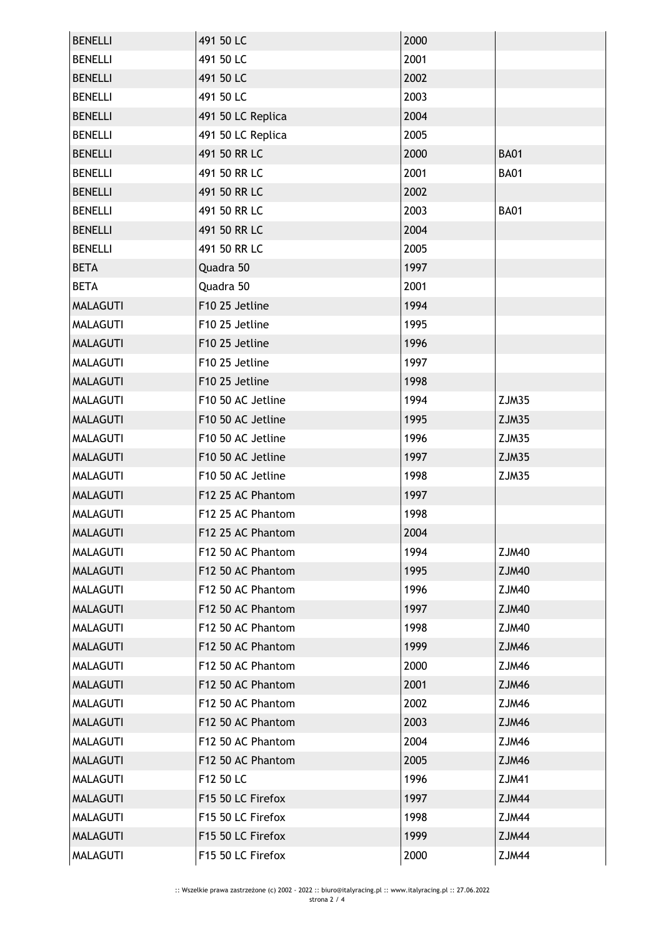| <b>BENELLI</b>  | 491 50 LC         | 2000 |              |
|-----------------|-------------------|------|--------------|
| <b>BENELLI</b>  | 491 50 LC         | 2001 |              |
| <b>BENELLI</b>  | 491 50 LC         | 2002 |              |
| <b>BENELLI</b>  | 491 50 LC         | 2003 |              |
| <b>BENELLI</b>  | 491 50 LC Replica | 2004 |              |
| <b>BENELLI</b>  | 491 50 LC Replica | 2005 |              |
| <b>BENELLI</b>  | 491 50 RR LC      | 2000 | <b>BA01</b>  |
| <b>BENELLI</b>  | 491 50 RR LC      | 2001 | <b>BA01</b>  |
| <b>BENELLI</b>  | 491 50 RR LC      | 2002 |              |
| <b>BENELLI</b>  | 491 50 RR LC      | 2003 | <b>BA01</b>  |
| <b>BENELLI</b>  | 491 50 RR LC      | 2004 |              |
| <b>BENELLI</b>  | 491 50 RR LC      | 2005 |              |
| <b>BETA</b>     | Quadra 50         | 1997 |              |
| <b>BETA</b>     | Quadra 50         | 2001 |              |
| <b>MALAGUTI</b> | F10 25 Jetline    | 1994 |              |
| <b>MALAGUTI</b> | F10 25 Jetline    | 1995 |              |
| <b>MALAGUTI</b> | F10 25 Jetline    | 1996 |              |
| MALAGUTI        | F10 25 Jetline    | 1997 |              |
| <b>MALAGUTI</b> | F10 25 Jetline    | 1998 |              |
| <b>MALAGUTI</b> | F10 50 AC Jetline | 1994 | ZJM35        |
| <b>MALAGUTI</b> | F10 50 AC Jetline | 1995 | ZJM35        |
| <b>MALAGUTI</b> | F10 50 AC Jetline | 1996 | ZJM35        |
| <b>MALAGUTI</b> | F10 50 AC Jetline | 1997 | ZJM35        |
| <b>MALAGUTI</b> | F10 50 AC Jetline | 1998 | ZJM35        |
| <b>MALAGUTI</b> | F12 25 AC Phantom | 1997 |              |
| <b>MALAGUTI</b> | F12 25 AC Phantom | 1998 |              |
| <b>MALAGUTI</b> | F12 25 AC Phantom | 2004 |              |
| <b>MALAGUTI</b> | F12 50 AC Phantom | 1994 | <b>ZJM40</b> |
| <b>MALAGUTI</b> | F12 50 AC Phantom | 1995 | <b>ZJM40</b> |
| <b>MALAGUTI</b> | F12 50 AC Phantom | 1996 | ZJM40        |
| <b>MALAGUTI</b> | F12 50 AC Phantom | 1997 | <b>ZJM40</b> |
| <b>MALAGUTI</b> | F12 50 AC Phantom | 1998 | ZJM40        |
| <b>MALAGUTI</b> | F12 50 AC Phantom | 1999 | <b>ZJM46</b> |
| <b>MALAGUTI</b> | F12 50 AC Phantom | 2000 | ZJM46        |
| <b>MALAGUTI</b> | F12 50 AC Phantom | 2001 | <b>ZJM46</b> |
| <b>MALAGUTI</b> | F12 50 AC Phantom | 2002 | ZJM46        |
| <b>MALAGUTI</b> | F12 50 AC Phantom | 2003 | ZJM46        |
| MALAGUTI        | F12 50 AC Phantom | 2004 | ZJM46        |
| <b>MALAGUTI</b> | F12 50 AC Phantom | 2005 | ZJM46        |
| <b>MALAGUTI</b> | F12 50 LC         | 1996 | <b>ZJM41</b> |
| <b>MALAGUTI</b> | F15 50 LC Firefox | 1997 | <b>ZJM44</b> |
| <b>MALAGUTI</b> | F15 50 LC Firefox | 1998 | ZJM44        |
| <b>MALAGUTI</b> | F15 50 LC Firefox | 1999 | ZJM44        |
| <b>MALAGUTI</b> | F15 50 LC Firefox | 2000 | ZJM44        |
|                 |                   |      |              |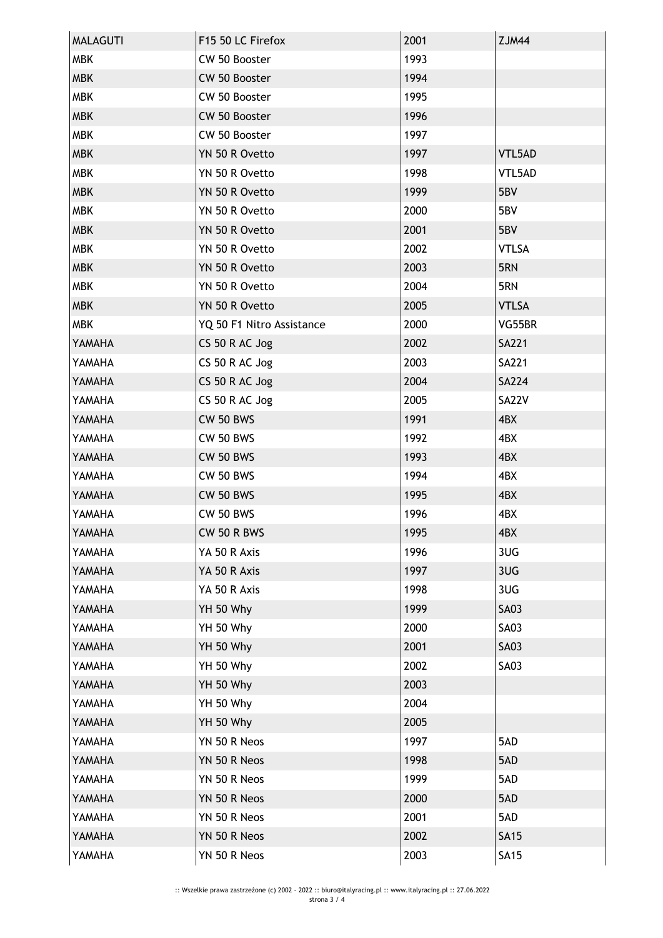| <b>MALAGUTI</b> | F15 50 LC Firefox         | 2001 | <b>ZJM44</b> |
|-----------------|---------------------------|------|--------------|
| <b>MBK</b>      | CW 50 Booster             | 1993 |              |
| <b>MBK</b>      | CW 50 Booster             | 1994 |              |
| <b>MBK</b>      | CW 50 Booster             | 1995 |              |
| <b>MBK</b>      | CW 50 Booster             | 1996 |              |
| <b>MBK</b>      | CW 50 Booster             | 1997 |              |
| <b>MBK</b>      | YN 50 R Ovetto            | 1997 | VTL5AD       |
| <b>MBK</b>      | YN 50 R Ovetto            | 1998 | VTL5AD       |
| <b>MBK</b>      | YN 50 R Ovetto            | 1999 | 5BV          |
| <b>MBK</b>      | YN 50 R Ovetto            | 2000 | 5BV          |
| <b>MBK</b>      | YN 50 R Ovetto            | 2001 | 5BV          |
| <b>MBK</b>      | YN 50 R Ovetto            | 2002 | <b>VTLSA</b> |
| <b>MBK</b>      | YN 50 R Ovetto            | 2003 | 5RN          |
| <b>MBK</b>      | YN 50 R Ovetto            | 2004 | 5RN          |
| <b>MBK</b>      | YN 50 R Ovetto            | 2005 | <b>VTLSA</b> |
| <b>MBK</b>      | YQ 50 F1 Nitro Assistance | 2000 | VG55BR       |
| YAMAHA          | CS 50 R AC Jog            | 2002 | <b>SA221</b> |
| YAMAHA          | CS 50 R AC Jog            | 2003 | <b>SA221</b> |
| YAMAHA          | CS 50 R AC Jog            | 2004 | <b>SA224</b> |
| YAMAHA          | CS 50 R AC Jog            | 2005 | SA22V        |
| YAMAHA          | <b>CW 50 BWS</b>          | 1991 | 4BX          |
| YAMAHA          | <b>CW 50 BWS</b>          | 1992 | 4BX          |
| YAMAHA          | <b>CW 50 BWS</b>          | 1993 | 4BX          |
| YAMAHA          | <b>CW 50 BWS</b>          | 1994 | 4BX          |
| YAMAHA          | <b>CW 50 BWS</b>          | 1995 | 4BX          |
| YAMAHA          | <b>CW 50 BWS</b>          | 1996 | 4BX          |
| YAMAHA          | CW 50 R BWS               | 1995 | 4BX          |
| YAMAHA          | YA 50 R Axis              | 1996 | 3UG          |
| YAMAHA          | YA 50 R Axis              | 1997 | 3UG          |
| YAMAHA          | YA 50 R Axis              | 1998 | 3UG          |
| YAMAHA          | YH 50 Why                 | 1999 | <b>SA03</b>  |
| YAMAHA          | YH 50 Why                 | 2000 | <b>SA03</b>  |
| YAMAHA          | YH 50 Why                 | 2001 | <b>SA03</b>  |
| YAMAHA          | YH 50 Why                 | 2002 | <b>SA03</b>  |
| YAMAHA          | YH 50 Why                 | 2003 |              |
| YAMAHA          | YH 50 Why                 | 2004 |              |
| YAMAHA          | YH 50 Why                 | 2005 |              |
| YAMAHA          | YN 50 R Neos              | 1997 | 5AD          |
| YAMAHA          | YN 50 R Neos              | 1998 | 5AD          |
| YAMAHA          | YN 50 R Neos              | 1999 | 5AD          |
| YAMAHA          | YN 50 R Neos              | 2000 | 5AD          |
| YAMAHA          | YN 50 R Neos              | 2001 | 5AD          |
| YAMAHA          | YN 50 R Neos              | 2002 | <b>SA15</b>  |
| YAMAHA          | YN 50 R Neos              | 2003 | <b>SA15</b>  |